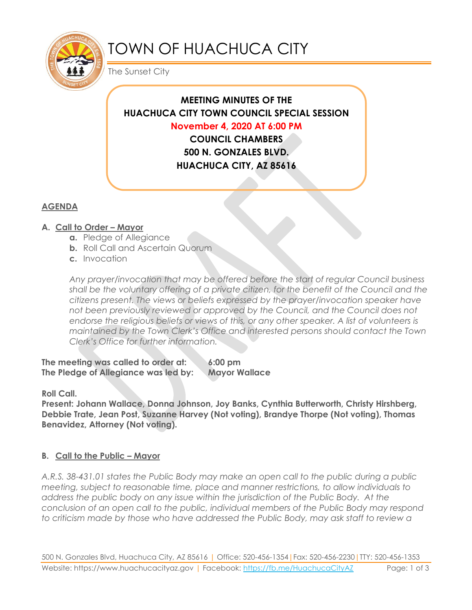

# TOWN OF HUACHUCA CITY

The Sunset City

# **MEETING MINUTES OF THE HUACHUCA CITY TOWN COUNCIL SPECIAL SESSION November 4, 2020 AT 6:00 PM COUNCIL CHAMBERS**

**500 N. GONZALES BLVD. HUACHUCA CITY, AZ 85616**

## **AGENDA**

## **A. Call to Order – Mayor**

- **a.** Pledge of Allegiance
- **b.** Roll Call and Ascertain Quorum
- **c.** Invocation

*Any prayer/invocation that may be offered before the start of regular Council business shall be the voluntary offering of a private citizen, for the benefit of the Council and the citizens present. The views or beliefs expressed by the prayer/invocation speaker have not been previously reviewed or approved by the Council, and the Council does not endorse the religious beliefs or views of this, or any other speaker. A list of volunteers is maintained by the Town Clerk's Office and interested persons should contact the Town Clerk's Office for further information.*

**The meeting was called to order at: 6:00 pm The Pledge of Allegiance was led by: Mayor Wallace**

**Roll Call.**

**Present: Johann Wallace, Donna Johnson, Joy Banks, Cynthia Butterworth, Christy Hirshberg, Debbie Trate, Jean Post, Suzanne Harvey (Not voting), Brandye Thorpe (Not voting), Thomas Benavidez, Attorney (Not voting).**

### **B. Call to the Public – Mayor**

*A.R.S. 38-431.01 states the Public Body may make an open call to the public during a public meeting, subject to reasonable time, place and manner restrictions, to allow individuals to address the public body on any issue within the jurisdiction of the Public Body. At the conclusion of an open call to the public, individual members of the Public Body may respond to criticism made by those who have addressed the Public Body, may ask staff to review a*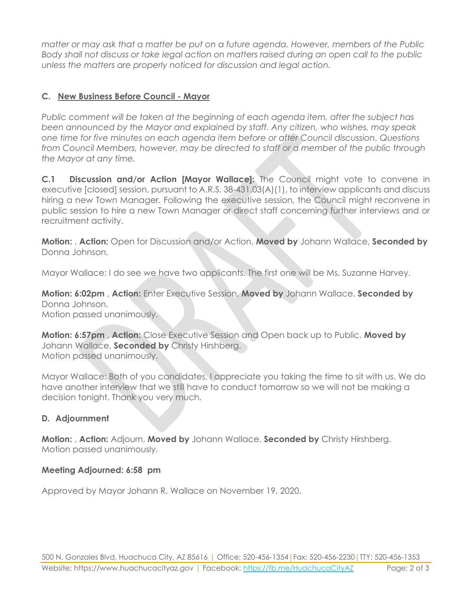*matter or may ask that a matter be put on a future agenda. However, members of the Public Body shall not discuss or take legal action on matters raised during an open call to the public unless the matters are properly noticed for discussion and legal action.*

#### **C. New Business Before Council - Mayor**

*Public comment will be taken at the beginning of each agenda item, after the subject has been announced by the Mayor and explained by staff. Any citizen, who wishes, may speak one time for five minutes on each agenda item before or after Council discussion. Questions from Council Members, however, may be directed to staff or a member of the public through the Mayor at any time.* 

**C.1 Discussion and/or Action [Mayor Wallace]:** The Council might vote to convene in executive [closed] session, pursuant to A.R.S. 38-431.03(A)(1), to interview applicants and discuss hiring a new Town Manager. Following the executive session, the Council might reconvene in public session to hire a new Town Manager or direct staff concerning further interviews and or recruitment activity.

**Motion:** , **Action:** Open for Discussion and/or Action, **Moved by** Johann Wallace, **Seconded by** Donna Johnson.

Mayor Wallace: I do see we have two applicants. The first one will be Ms. Suzanne Harvey.

**Motion: 6:02pm** , **Action:** Enter Executive Session, **Moved by** Johann Wallace, **Seconded by** Donna Johnson. Motion passed unanimously.

**Motion: 6:57pm** , **Action:** Close Executive Session and Open back up to Public, **Moved by** Johann Wallace, **Seconded by** Christy Hirshberg. Motion passed unanimously.

Mayor Wallace: Both of you candidates, I appreciate you taking the time to sit with us. We do have another interview that we still have to conduct tomorrow so we will not be making a decision tonight. Thank you very much.

#### **D. Adjournment**

**Motion:** , **Action:** Adjourn, **Moved by** Johann Wallace, **Seconded by** Christy Hirshberg. Motion passed unanimously.

#### **Meeting Adjourned: 6:58 pm**

Approved by Mayor Johann R. Wallace on November 19, 2020.